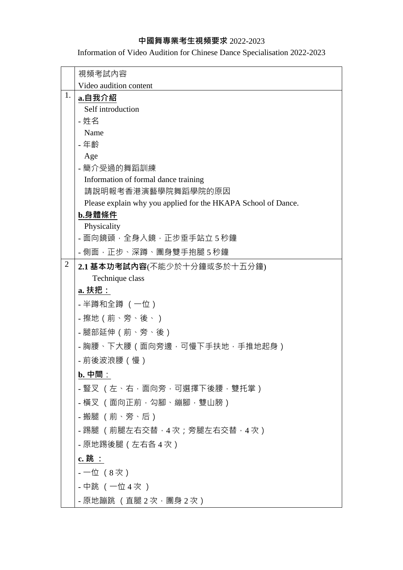## **中國舞專業考生視頻要求** 2022-2023

Information of Video Audition for Chinese Dance Specialisation 2022-2023

|                | 視頻考試內容                                                        |
|----------------|---------------------------------------------------------------|
|                | Video audition content                                        |
| 1.             | a.自我介紹                                                        |
|                | Self introduction                                             |
|                | - 姓名                                                          |
|                | Name                                                          |
|                | - 年齢                                                          |
|                | Age<br>- 簡介受過的舞蹈訓練                                            |
|                | Information of formal dance training                          |
|                | 請說明報考香港演藝學院舞蹈學院的原因                                            |
|                | Please explain why you applied for the HKAPA School of Dance. |
|                | b.身體條件                                                        |
|                | Physicality                                                   |
|                | - 面向鏡頭,全身入鏡,正步垂手站立 5 秒鐘                                       |
|                | - 側面,正步、深蹲、團身雙手抱腿 5 秒鐘                                        |
| $\overline{2}$ | 2.1 基本功考試內容(不能少於十分鐘或多於十五分鐘)                                   |
|                | Technique class                                               |
|                | a. 扶把:                                                        |
|                | - 半蹲和全蹲(一位)                                                   |
|                | - 擦地 ( 前、旁、後、 )                                               |
|                | - 腿部延伸 ( 前、旁、後 )                                              |
|                | - 胸腰、下大腰(面向旁邊,可慢下手扶地,手推地起身)                                   |
|                | - 前後波浪腰(慢)                                                    |
|                | $\mathbf{b}$ . 中間:                                            |
|                | - 豎叉 (左、右,面向旁,可選擇下後腰,雙托掌)                                     |
|                | - 橫叉 (面向正前,勾腳、繃腳,雙山膀)                                         |
|                | - 搬腿 (前、旁、后)                                                  |
|                | - 踢腿 (前腿左右交替,4 次;旁腿左右交替,4 次)                                  |
|                | - 原地踢後腿(左右各4次)                                                |
|                | $c. $ 跳 :                                                     |
|                | - 一位 (8 次)                                                    |
|                | - 中跳 (一位 4 次 )                                                |
|                | - 原地蹦跳 (直腿2次・團身2次)                                            |